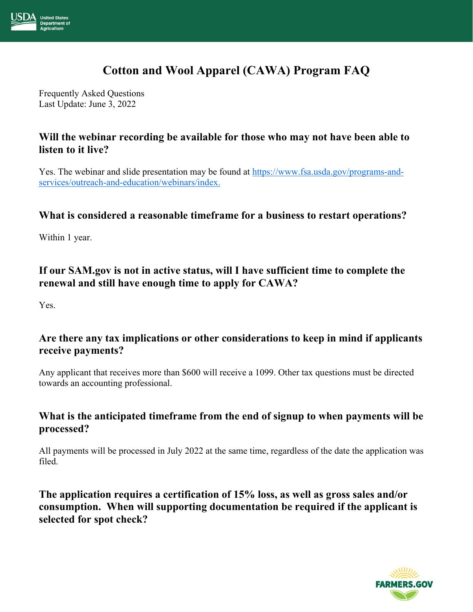

# **Cotton and Wool Apparel (CAWA) Program FAQ**

Frequently Asked Questions Last Update: June 3, 2022

### **Will the webinar recording be available for those who may not have been able to listen to it live?**

Yes. The webinar and slide presentation may be found at [https://www.fsa.usda.gov/programs-and](https://gcc02.safelinks.protection.outlook.com/?url=https%3A%2F%2Fwww.fsa.usda.gov%2Fprograms-and-services%2Foutreach-and-education%2Fwebinars%2Findex&data=05%7C01%7C%7Cd28e8fd14f804fa747d808da34f3d507%7Ced5b36e701ee4ebc867ee03cfa0d4697%7C0%7C0%7C637880519109949866%7CUnknown%7CTWFpbGZsb3d8eyJWIjoiMC4wLjAwMDAiLCJQIjoiV2luMzIiLCJBTiI6Ik1haWwiLCJXVCI6Mn0%3D%7C3000%7C%7C%7C&sdata=KQiMUPB3dx5ihqtdm9KEAZF7Q7dLscVCFe2BnFeaTZI%3D&reserved=0)[services/outreach-and-education/webinars/index.](https://gcc02.safelinks.protection.outlook.com/?url=https%3A%2F%2Fwww.fsa.usda.gov%2Fprograms-and-services%2Foutreach-and-education%2Fwebinars%2Findex&data=05%7C01%7C%7Cd28e8fd14f804fa747d808da34f3d507%7Ced5b36e701ee4ebc867ee03cfa0d4697%7C0%7C0%7C637880519109949866%7CUnknown%7CTWFpbGZsb3d8eyJWIjoiMC4wLjAwMDAiLCJQIjoiV2luMzIiLCJBTiI6Ik1haWwiLCJXVCI6Mn0%3D%7C3000%7C%7C%7C&sdata=KQiMUPB3dx5ihqtdm9KEAZF7Q7dLscVCFe2BnFeaTZI%3D&reserved=0)

#### **What is considered a reasonable timeframe for a business to restart operations?**

Within 1 year.

### **If our SAM.gov is not in active status, will I have sufficient time to complete the renewal and still have enough time to apply for CAWA?**

Yes.

### **Are there any tax implications or other considerations to keep in mind if applicants receive payments?**

Any applicant that receives more than \$600 will receive a 1099. Other tax questions must be directed towards an accounting professional.

### **What is the anticipated timeframe from the end of signup to when payments will be processed?**

All payments will be processed in July 2022 at the same time, regardless of the date the application was filed.

**The application requires a certification of 15% loss, as well as gross sales and/or consumption. When will supporting documentation be required if the applicant is selected for spot check?**